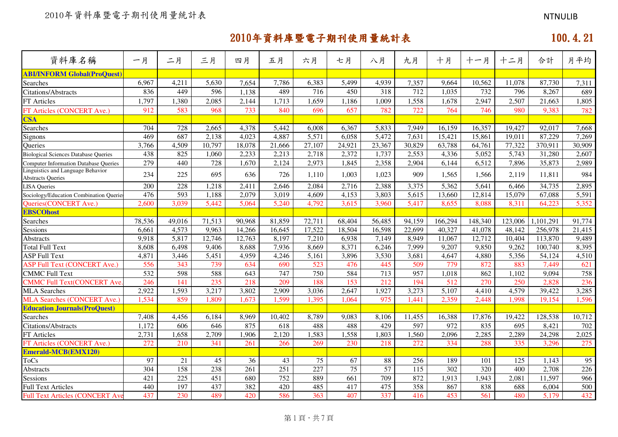| 資料庫名稱                                                         | 一月     | 二月     | 三月     | 四月     | 五月     | 六月     | 七月              | 八月              | 九月     | 十月      | 十一月     | 十二月     | 合計        | 月平均    |
|---------------------------------------------------------------|--------|--------|--------|--------|--------|--------|-----------------|-----------------|--------|---------|---------|---------|-----------|--------|
| <b>ABI/INFORM Global(ProQuest)</b>                            |        |        |        |        |        |        |                 |                 |        |         |         |         |           |        |
| Searches                                                      | 6,967  | 4,211  | 5,630  | 7,654  | 7,786  | 6,383  | 5,499           | 4,939           | 7,357  | 9,664   | 10,562  | 11,078  | 87,730    | 7,311  |
| Citations/Abstracts                                           | 836    | 449    | 596    | 1,138  | 489    | 716    | 450             | 318             | 712    | 1,035   | 732     | 796     | 8,267     | 689    |
| FT Articles                                                   | 1,797  | 1,380  | 2,085  | 2,144  | 1,713  | 1,659  | 1,186           | 1,009           | 1,558  | 1,678   | 2,947   | 2,507   | 21,663    | 1,805  |
| FT Articles (CONCERT Ave.)                                    | 912    | 583    | 968    | 733    | 840    | 696    | 657             | 782             | 722    | 764     | 746     | 980     | 9,383     | 782    |
| <b>CSA</b>                                                    |        |        |        |        |        |        |                 |                 |        |         |         |         |           |        |
| Searches                                                      | 704    | 728    | 2,665  | 4,378  | 5,442  | 6,008  | 6,367           | 5,833           | 7,949  | 16,159  | 16,357  | 19,427  | 92,017    | 7,668  |
| Signons                                                       | 469    | 687    | 2,138  | 4,023  | 4,887  | 5,571  | 6,058           | 5,472           | 7,631  | 15,421  | 15,861  | 19,011  | 87,229    | 7,269  |
| Queries                                                       | 3,766  | 4,509  | 10,797 | 18,078 | 21,666 | 27,107 | 24,921          | 23,367          | 30,829 | 63,788  | 64,761  | 77,322  | 370,911   | 30,909 |
| <b>Biological Sciences Database Queries</b>                   | 438    | 825    | 1,060  | 2,233  | 2,213  | 2,718  | 2,372           | 1,737           | 2,553  | 4,336   | 5,052   | 5,743   | 31,280    | 2,607  |
| <b>Computer Information Database Oueries</b>                  | 279    | 440    | 728    | 1,670  | 2,124  | 2,973  | 1,845           | 2,358           | 2,904  | 6,144   | 6,512   | 7,896   | 35,873    | 2,989  |
| Linguistics and Language Behavior<br><b>Abstracts Queries</b> | 234    | 225    | 695    | 636    | 726    | 1.110  | 1,003           | 1,023           | 909    | 1,565   | 1,566   | 2,119   | 11,811    | 984    |
| <b>LISA Oueries</b>                                           | 200    | 228    | 1,218  | 2,411  | 2,646  | 2,084  | 2,716           | 2,388           | 3,375  | 5,362   | 5,641   | 6,466   | 34,735    | 2,895  |
| Sociology/Education Combination Querie                        | 476    | 593    | 1,188  | 2,079  | 3,019  | 4,609  | 4,153           | 3,803           | 5,615  | 13,660  | 12,814  | 15,079  | 67,088    | 5,591  |
| <b>Oueries (CONCERT Ave.)</b>                                 | 2,600  | 3.039  | 5,442  | 5,064  | 5,240  | 4,792  | 3,615           | 3,960           | 5,417  | 8,655   | 8,088   | 8,311   | 64,223    | 5,352  |
| <b>EBSCOhost</b>                                              |        |        |        |        |        |        |                 |                 |        |         |         |         |           |        |
| Searches                                                      | 78,536 | 49,016 | 71,513 | 90,968 | 81,859 | 72,711 | 68,404          | 56,485          | 94,159 | 166,294 | 148,340 | 123,006 | 1,101,291 | 91,774 |
| <b>Sessions</b>                                               | 6,661  | 4,573  | 9,963  | 14,266 | 16,645 | 17,522 | 18,504          | 16,598          | 22,699 | 40,327  | 41,078  | 48,142  | 256,978   | 21,415 |
| <b>Abstracts</b>                                              | 9,918  | 5,817  | 12,746 | 12,763 | 8,197  | 7,210  | 6,938           | 7,149           | 8,949  | 11,067  | 12,712  | 10,404  | 113,870   | 9,489  |
| <b>Total Full Text</b>                                        | 8,608  | 6,498  | 9,406  | 8,688  | 7,936  | 8,669  | 8,371           | 6,246           | 7,999  | 9,207   | 9,850   | 9,262   | 100,740   | 8,395  |
| <b>ASP Full Text</b>                                          | 4,871  | 3,446  | 5,451  | 4,959  | 4,246  | 5,161  | 3,896           | 3,530           | 3,681  | 4,647   | 4,880   | 5,356   | 54,124    | 4,510  |
| <b>ASP Full Text (CONCERT Ave.)</b>                           | 556    | 343    | 739    | 634    | 690    | 523    | 476             | 445             | 509    | 779     | 872     | 883     | 7,449     | 621    |
| <b>CMMC Full Text</b>                                         | 532    | 598    | 588    | 643    | 747    | 750    | 584             | 713             | 957    | 1,018   | 862     | 1,102   | 9,094     | 758    |
| <b>CMMC Full Text(CONCERT Ave</b>                             | 246    | 141    | 235    | 218    | 209    | 188    | 153             | 212             | 194    | 512     | 270     | 250     | 2,828     | 236    |
| <b>MLA Searches</b>                                           | 2,922  | 1,593  | 3,217  | 3,802  | 2,909  | 3,036  | 2,647           | 1,927           | 3,273  | 5,107   | 4,410   | 4,579   | 39,422    | 3,285  |
| <b>MLA Searches (CONCERT Ave.)</b>                            | 1,534  | 859    | 1,809  | 1,673  | 1,599  | 1,395  | 1,064           | 975             | 1,441  | 2,359   | 2,448   | 1,998   | 19,154    | 1,596  |
| <b>Education Journals (ProQuest)</b>                          |        |        |        |        |        |        |                 |                 |        |         |         |         |           |        |
| Searches                                                      | 7,408  | 4,456  | 6,184  | 8,969  | 10,402 | 8,789  | 9,083           | 8,106           | 11,455 | 16,388  | 17,876  | 19,422  | 128,538   | 10,712 |
| <b>Citations/Abstracts</b>                                    | 1,172  | 606    | 646    | 875    | 618    | 488    | 488             | 429             | 597    | 972     | 835     | 695     | 8,421     | 702    |
| FT Articles                                                   | 2,731  | 1,658  | 2,709  | 1,906  | 2,120  | 1,583  | 1,558           | 1,803           | 1,560  | 2,096   | 2,285   | 2,289   | 24,298    | 2,025  |
| FT Articles (CONCERT Ave.)                                    | 272    | 210    | 341    | 261    | 266    | 269    | 230             | 218             | 272    | 334     | 288     | 335     | 3,296     | 275    |
| <b>Emerald-MCB(EMX120)</b>                                    |        |        |        |        |        |        |                 |                 |        |         |         |         |           |        |
| <b>ToCs</b>                                                   | 97     | 21     | 45     | 36     | 43     | 75     | 67              | 88              | 256    | 189     | 101     | 125     | 1,143     | 95     |
| <b>Abstracts</b>                                              | 304    | 158    | 238    | 261    | 251    | 227    | $\overline{75}$ | $\overline{57}$ | 115    | 302     | 320     | 400     | 2,708     | 226    |
| Sessions                                                      | 421    | 225    | 451    | 680    | 752    | 889    | 661             | 709             | 872    | 1,913   | 1,943   | 2,081   | 11,597    | 966    |
| <b>Full Text Articles</b>                                     | 440    | 197    | 437    | 382    | 420    | 485    | 417             | 475             | 358    | 867     | 838     | 688     | 6,004     | 500    |
| <b>Full Text Articles (CONCERT Av</b>                         | 437    | 230    | 489    | 420    | 586    | 363    | 407             | 337             | 416    | 453     | 561     | 480     | 5,179     | 432    |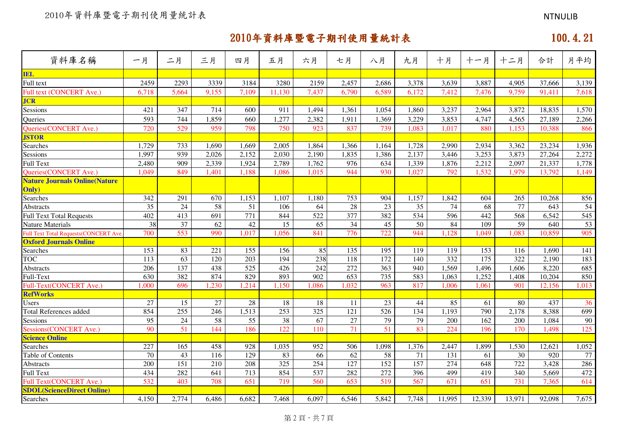| 資料庫名稱                                        | 一月               | 二月    | 三月              | 四月              | 五月              | 六月    | 七月               | 八月              | 九月              | 十月     | 十一月    | 十二月              | 合計     | 月平均   |
|----------------------------------------------|------------------|-------|-----------------|-----------------|-----------------|-------|------------------|-----------------|-----------------|--------|--------|------------------|--------|-------|
| <b>IEL</b>                                   |                  |       |                 |                 |                 |       |                  |                 |                 |        |        |                  |        |       |
| Full text                                    | 2459             | 2293  | 3339            | 3184            | 3280            | 2159  | 2,457            | 2,686           | 3,378           | 3,639  | 3,887  | 4,905            | 37,666 | 3,139 |
| Full text (CONCERT Ave.)                     | 6,718            | 5,664 | 9,155           | 7,109           | 11,130          | 7,437 | 6,790            | 6,589           | 6,172           | 7,412  | 7,476  | 9,759            | 91,411 | 7,618 |
| <b>JCR</b>                                   |                  |       |                 |                 |                 |       |                  |                 |                 |        |        |                  |        |       |
| Sessions                                     | 421              | 347   | 714             | 600             | 911             | 1,494 | 1,361            | 1,054           | 1,860           | 3,237  | 2,964  | 3,872            | 18,835 | 1,570 |
| Queries                                      | 593              | 744   | 1,859           | 660             | 1,277           | 2,382 | 1,911            | 1,369           | 3,229           | 3,853  | 4,747  | 4,565            | 27,189 | 2,266 |
| Queries(CONCERT Ave.)                        | 720              | 529   | 959             | 798             | 750             | 923   | 837              | 739             | 1,083           | 1,017  | 880    | 1,153            | 10,388 | 866   |
| <b>JSTOR</b>                                 |                  |       |                 |                 |                 |       |                  |                 |                 |        |        |                  |        |       |
| Searches                                     | 1,729            | 733   | 1,690           | 1,669           | 2,005           | 1,864 | 1,366            | 1,164           | 1,728           | 2,990  | 2,934  | 3,362            | 23,234 | 1,936 |
| Sessions                                     | 1,997            | 939   | 2,026           | 2,152           | 2,030           | 2,190 | 1,835            | 1,386           | 2,137           | 3,446  | 3,253  | 3,873            | 27,264 | 2,272 |
| <b>Full Text</b>                             | 2,480            | 909   | 2,339           | 1,924           | 2,789           | 1,762 | 976              | 634             | 1,339           | 1,876  | 2,212  | 2,097            | 21,337 | 1,778 |
| <b>Oueries (CONCERT Ave.)</b>                | 1,049            | 849   | 1,401           | 1,188           | 1,086           | 1,015 | 944              | 930             | 1,027           | 792    | 1,532  | 1,979            | 13,792 | 1,149 |
| <b>Nature Journals Online (Nature</b>        |                  |       |                 |                 |                 |       |                  |                 |                 |        |        |                  |        |       |
| Only)                                        |                  |       |                 |                 |                 |       |                  |                 |                 |        |        |                  |        |       |
| Searches                                     | 342              | 291   | 670             | 1,153           | 1,107           | 1,180 | 753              | 904             | 1,157           | 1,842  | 604    | 265              | 10,268 | 856   |
| Abstracts                                    | 35               | 24    | 58              | 51              | 106             | 64    | 28               | 23              | 35              | 74     | 68     | 77               | 643    | 54    |
| <b>Full Text Total Requests</b>              | 402              | 413   | 691             | 771             | 844             | 522   | $\overline{377}$ | 382             | 534             | 596    | 442    | $\overline{568}$ | 6,542  | 545   |
| <b>Nature Materials</b>                      | 38               | 37    | 62              | 42              | 15              | 65    | 34               | 45              | 50              | 84     | 109    | 59               | 640    | 53    |
| <b>Full Text Total Requests (CONCERT Ave</b> | 700              | 553   | 990             | 1,017           | 1,056           | 841   | $\overline{776}$ | 722             | 944             | 1,128  | 1,049  | 1,083            | 10,859 | 905   |
| <b>Oxford Journals Online</b>                |                  |       |                 |                 |                 |       |                  |                 |                 |        |        |                  |        |       |
| Searches                                     | 153              | 83    | 221             | 155             | 156             | 85    | 135              | 195             | 119             | 119    | 153    | 116              | 1,690  | 141   |
| <b>TOC</b>                                   | 113              | 63    | 120             | 203             | 194             | 238   | 118              | 172             | 140             | 332    | 175    | 322              | 2,190  | 183   |
| Abstracts                                    | $\overline{206}$ | 137   | 438             | 525             | 426             | 242   | 272              | 363             | 940             | 1,569  | 1,496  | 1,606            | 8,220  | 685   |
| Full-Text                                    | 630              | 382   | 874             | 829             | 893             | 902   | 653              | 735             | 583             | 1,063  | 1,252  | 1,408            | 10,204 | 850   |
| Full-Text(CONCERT Ave.)                      | 1,000            | 696   | ,230            | 1,214           | 1,150           | 1,086 | 1,032            | 963             | 817             | 1,006  | 1,061  | 901              | 12,156 | 1,013 |
| <b>RefWorks</b>                              |                  |       |                 |                 |                 |       |                  |                 |                 |        |        |                  |        |       |
| Users                                        | 27               | 15    | 27              | 28              | 18              | 18    | 11               | 23              | 44              | 85     | 61     | 80               | 437    | 36    |
| <b>Total References added</b>                | 854              | 255   | 246             | 1,513           | 253             | 325   | 121              | 526             | 134             | 1,193  | 790    | 2,178            | 8,388  | 699   |
| Sessions                                     | 95               | 24    | $\overline{58}$ | $\overline{55}$ | $\overline{38}$ | 67    | $\overline{27}$  | 79              | $\overline{79}$ | 200    | 162    | 200              | 1,084  | 90    |
| Sessions(CONCERT Ave.)                       | 90               | 51    | 144             | 186             | 122             | 110   | $\overline{71}$  | $\overline{51}$ | 83              | 224    | 196    | 170              | 1,498  | 125   |
| <b>Science Online</b>                        |                  |       |                 |                 |                 |       |                  |                 |                 |        |        |                  |        |       |
| Searches                                     | 227              | 165   | 458             | 928             | 1,035           | 952   | 506              | 1,098           | 1,376           | 2,447  | 1,899  | 1,530            | 12,621 | 1,052 |
| Table of Contents                            | 70               | 43    | 116             | 129             | 83              | 66    | 62               | 58              | 71              | 131    | 61     | 30               | 920    | 77    |
| Abstracts                                    | 200              | 151   | 210             | 208             | 325             | 254   | 127              | 152             | 157             | 274    | 648    | 722              | 3,428  | 286   |
| <b>Full Text</b>                             | 434              | 282   | 641             | 713             | 854             | 537   | 282              | 272             | 396             | 499    | 419    | 340              | 5,669  | 472   |
| Full Text(CONCERT Ave.)                      | 532              | 403   | 708             | 651             | 719             | 560   | 653              | 519             | 567             | 671    | 651    | 731              | 7,365  | 614   |
| <b>SDOL</b> (ScienceDirect Online)           |                  |       |                 |                 |                 |       |                  |                 |                 |        |        |                  |        |       |
| Searches                                     | 4,150            | 2,774 | 6,486           | 6,682           | 7,468           | 6,097 | 6,546            | 5,842           | 7,748           | 11,995 | 12,339 | 13,971           | 92,098 | 7,675 |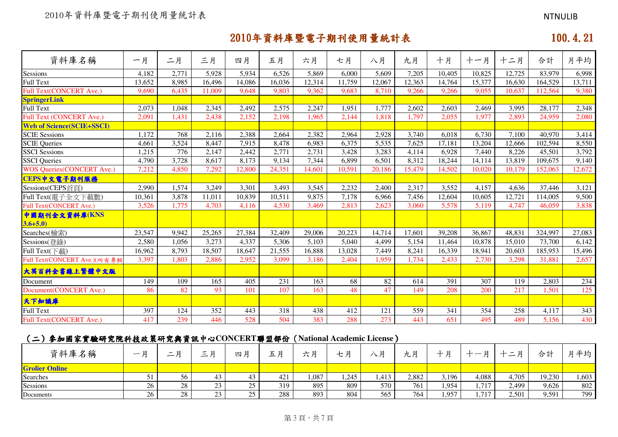| 資料庫名稱                            | 一月     | 二月               | 三月     | 四月              | 五月     | 六月     | 七月     | 八月     | 九月     | 十月     | 十一月    | 十二月    | 合計      | 月平均    |
|----------------------------------|--------|------------------|--------|-----------------|--------|--------|--------|--------|--------|--------|--------|--------|---------|--------|
|                                  |        |                  |        |                 |        |        |        |        |        |        |        |        |         |        |
| Sessions                         | 4,182  | 2,771            | 5,928  | 5,934<br>14,086 | 6,526  | 5,869  | 6,000  | 5,609  | 7,205  | 10,405 | 10,825 | 12,725 | 83,979  | 6,998  |
| Full Text                        | 13,652 | 8,985            | 16,496 |                 | 16,036 | 12,314 | 11,759 | 12,067 | 12,363 | 14,764 | 15,377 | 16,630 | 164,529 | 13,711 |
| <b>Full Text(CONCERT Ave.)</b>   | 9,690  | 6,435            | 11,009 | 9,648           | 9,803  | 9,362  | 9,683  | 8,710  | 9,266  | 9,266  | 9,055  | 10,637 | 112,564 | 9,380  |
| <b>SpringerLink</b><br>Full Text | 2,073  |                  |        |                 | 2,575  | 2,247  |        | 1,777  |        |        |        |        |         | 2,348  |
|                                  |        | 1,048            | 2,345  | 2,492           |        |        | 1,951  |        | 2,602  | 2,603  | 2,469  | 3,995  | 28,177  |        |
| <b>Full Text (CONCERT Ave.)</b>  | 2,091  | 1,431            | 2,438  | 2,152           | 2,198  | 1,965  | 2,144  | 1,818  | 1,797  | 2,055  | 1,977  | 2,893  | 24,959  | 2,080  |
| <b>Web of Science(SCIE+SSCI)</b> |        |                  |        |                 |        |        |        |        |        |        |        |        |         |        |
| <b>SCIE Sessions</b>             | 1.172  | $\overline{768}$ | 2,116  | 2,388           | 2,664  | 2,382  | 2,964  | 2,928  | 3,740  | 6,018  | 6,730  | 7,100  | 40.970  | 3,414  |
| <b>SCIE Queries</b>              | 4,661  | 3,524            | 8,447  | 7,915           | 8,478  | 6,983  | 6,375  | 5,535  | 7,625  | 17,181 | 13,204 | 12,666 | 102,594 | 8,550  |
| <b>SSCI</b> Sessions             | 1,215  | 776              | 2,147  | 2,442           | 2,771  | 2,731  | 3,428  | 3,283  | 4,114  | 6,928  | 7,440  | 8,226  | 45,501  | 3,792  |
| <b>SSCI</b> Queries              | 4,790  | 3,728            | 8,617  | 8,173           | 9,134  | 7,344  | 6,899  | 6,501  | 8,312  | 18,244 | 14,114 | 13,819 | 109,675 | 9,140  |
| <b>WOS Queries(CONCERT Ave.)</b> | 7,212  | 4,850            | 7,292  | 12,800          | 24,351 | 14,601 | 10,591 | 20,186 | 15,479 | 14,502 | 10,020 | 10,179 | 152,063 | 12,672 |
| CEPS中文電子期刊服務                     |        |                  |        |                 |        |        |        |        |        |        |        |        |         |        |
| Sessions(CEPS首頁)                 | 2,990  | 1,574            | 3,249  | 3,301           | 3,493  | 3,545  | 2,232  | 2,400  | 2,317  | 3,552  | 4,157  | 4,636  | 37,446  | 3,121  |
| Full Text(電子全文下載數)               | 10,361 | 3,878            | 11,011 | 10,839          | 10,511 | 9,875  | 7,178  | 6,966  | 7,456  | 12,604 | 10,605 | 12,721 | 114,005 | 9,500  |
| Full Text(CONCERT Ave.)          | 3,526  | 1,775            | 4,703  | 4,116           | 4,530  | 3,469  | 2,813  | 2,623  | 3,060  | 5,578  | 5,119  | 4,747  | 46,059  | 3,838  |
| 中國期刊全文資料庫(KNS                    |        |                  |        |                 |        |        |        |        |        |        |        |        |         |        |
| $3.6 + 5.0$                      |        |                  |        |                 |        |        |        |        |        |        |        |        |         |        |
| Searches(檢索)                     | 23,547 | 9,942            | 25,265 | 27,384          | 32,409 | 29,006 | 20,223 | 14,714 | 17,601 | 39,208 | 36,867 | 48,831 | 324,997 | 27,083 |
| Sessions(登錄)                     | 2,580  | 1,056            | 3,273  | 4,337           | 5,306  | 5,103  | 5,040  | 4,499  | 5,154  | 11,464 | 10,878 | 15,010 | 73,700  | 6,142  |
| Full Text(下載)                    | 16,962 | 8,793            | 18,507 | 18,647          | 21,555 | 16,888 | 13,028 | 7,449  | 8,241  | 16,339 | 18,941 | 20,603 | 185,953 | 15,496 |
| Full Text(CONCERT Ave.)(所有專輯     | 3,397  | 1,803            | 2,886  | 2,952           | 3,099  | 3,186  | 2,404  | 1,959  | 1,734  | 2,433  | 2,730  | 3,298  | 31,881  | 2,657  |
| 大英百科全書線上繁體中文版                    |        |                  |        |                 |        |        |        |        |        |        |        |        |         |        |
| Document                         | 149    | 109              | 165    | 405             | 231    | 163    | 68     | 82     | 614    | 391    | 307    | 119    | 2,803   | 234    |
| Document(CONCERT Ave.)           | 86     | 82               | 93     | 101             | 107    | 163    | 48     | 47     | 149    | 208    | 200    | 217    | 1,501   | 125    |
| 天下知識庫                            |        |                  |        |                 |        |        |        |        |        |        |        |        |         |        |
| Full Text                        | 397    | 124              | 352    | 443             | 318    | 438    | 412    | 121    | 559    | 341    | 354    | 258    | 4,117   | 343    |
| Full Text(CONCERT Ave.)          | 417    | 239              | 446    | 528             | 504    | 383    | 288    | 273    | 443    | 651    | 495    | 489    | 5,156   | 430    |

# (二)參加國家實驗研究院科技政策研究與資訊中心 參加國家實驗研究院科技政策研究與資訊中心**CONCERT**聯盟部份(**National Academic License**)

| 資料庫名稱                 | 一日 | $\overline{\phantom{a}}$<br>— | 一 口<br>$\overline{\phantom{0}}$ | 四月           | $\sim$<br>ᅭ | 上日<br>ハカ | 七月    | 八月   | 日<br>几). | n<br>∸ |          | 一日<br>— | 合計     | 月平均   |
|-----------------------|----|-------------------------------|---------------------------------|--------------|-------------|----------|-------|------|----------|--------|----------|---------|--------|-------|
| <b>Grolier Online</b> |    |                               |                                 |              |             |          |       |      |          |        |          |         |        |       |
| Searches              |    | 56                            |                                 | $\sim$<br>43 | 421         | .087     | 1,245 | .413 | 2,882    | 3,196  | 4,088    | 4,705   | 19,230 | 1,603 |
| Sessions              | 26 | 28                            | $\sim$<br>. .<br>رے             | 25           | 319         | 895      | 809   | 570  | 761      | 1,954  | 717      | 2,499   | 9,626  | 802   |
| Documents             | 26 | 28                            | . .<br>ر_ر                      | 25<br>رے     | 288         | 893      | 804   | 565  | 764      | 1,957  | 717<br>. | 2,501   | 9,591  | 799   |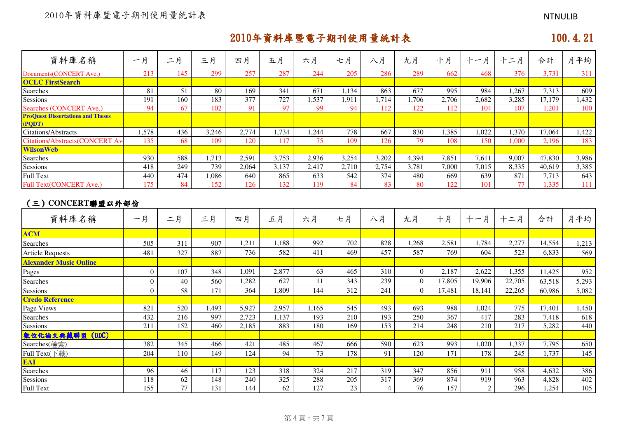# では、このように、このように、このように、このように、このように、このように、このように、このように、このように、このように、このように、このように、このように<br>このように、このように、このように、このように、このように、このように、このように、このように、このように、このように、このように、このように、このように、このように、このように、このように、このように、このよ

| 資料庫名稱                                              | 一月               | 二月              | 三月               | 四月    | 五月              | 六月              | 七月                 | 八月               | 九月              | 十月               | 十一月            | 十二月    | 合計     | 月平均              |
|----------------------------------------------------|------------------|-----------------|------------------|-------|-----------------|-----------------|--------------------|------------------|-----------------|------------------|----------------|--------|--------|------------------|
| Documents(CONCERT Ave.)                            | 213              | 145             | 299              | 257   | 287             | 244             | 205                | 286              | 289             | 662              | 468            | 376    | 3,731  | 311              |
| <b>OCLC FirstSearch</b>                            |                  |                 |                  |       |                 |                 |                    |                  |                 |                  |                |        |        |                  |
| Searches                                           | 81               | 51              | 80               | 169   | 341             | 671             | 1,134              | 863              | 677             | 995              | 984            | 1,267  | 7,313  | 609              |
| Sessions                                           | 191              | 160             | 183              | 377   | 727             | 1,537           | 1,911              | 1,714            | 1,706           | 2,706            | 2,682          | 3,285  | 17,179 | 1,432            |
| <b>Searches (CONCERT Ave.)</b>                     | 94               | 67              | 102              | 91    | 97              | 99              | 94                 | 112              | 122             | 112              | 104            | 107    | 1,201  | 100              |
| <b>ProQuest Dissertations and Theses</b><br>(PQDT) |                  |                 |                  |       |                 |                 |                    |                  |                 |                  |                |        |        |                  |
| <b>Citations/Abstracts</b>                         | 1,578            | 436             | 3,246            | 2,774 | 1,734           | 1,244           | 778                | 667              | 830             | 1,385            | 1,022          | 1,370  | 17,064 | 1,422            |
| <b>Citations/Abstracts(CONCERT Av</b>              | 135              | 68              | 109              | 120   | 117             | $\overline{75}$ | 109                | 126              | 79              | 108              | 150            | 1,000  | 2,196  | 183              |
| <b>WilsonWeb</b>                                   |                  |                 |                  |       |                 |                 |                    |                  |                 |                  |                |        |        |                  |
| Searches                                           | 930              | 588             | 1,713            | 2,591 | 3,753           | 2,936           | $3,25\overline{4}$ | 3,202            | 4,394           | 7,851            | 7,611          | 9,007  | 47,830 | 3,986            |
| Sessions                                           | 418              | 249             | 739              | 2,064 | 3,137           | 2,417           | 2,710              | 2,754            | 3,781           | 7,000            | 7,015          | 8,335  | 40,619 | 3,385            |
| <b>Full Text</b>                                   | 440              | 474             | 1,086            | 640   | 865             | 633             | 542                | 374              | 480             | 669              | 639            | 871    | 7,713  | 643              |
| <b>Full Text(CONCERT Ave.)</b>                     | 175              | 84              | 152              | 126   | 132             | 119             | 84                 | 83               | 80              | 122              | 101            | 77     | 1,335  | 111              |
| (三) CONCERT聯盟以外部份<br>資料庫名稱                         | 一月               | 二月              | 三月               | 四月    | 五月              | 六月              | 七月                 | 八月               | 九月              | 十月               | 十一月            | 十二月    | 合計     | 月平均              |
| <b>ACM</b>                                         |                  |                 |                  |       |                 |                 |                    |                  |                 |                  |                |        |        |                  |
| Searches                                           | 505              | 311             | 907              | 1,211 | 1,188           | 992             | 702                | 828              | 1,268           | 2,581            | 1,784          | 2,277  | 14,554 | 1,213            |
| <b>Article Requests</b>                            | 481              | 327             | 887              | 736   | 582             | 411             | 469                | 457              | 587             | 769              | 604            | 523    | 6,833  | 569              |
| <b>Alexander Music Online</b>                      |                  |                 |                  |       |                 |                 |                    |                  |                 |                  |                |        |        |                  |
| Pages                                              | $\boldsymbol{0}$ | 107             | 348              | 1,091 | 2,877           | 63              | 465                | 310              | $\overline{0}$  | 2,187            | 2,622          | 1,355  | 11,425 | 952              |
| Searches                                           | $\boldsymbol{0}$ | 40              | 560              | 1,282 | 627             | 11              | 343                | 239              | $\overline{0}$  | 17,805           | 19,906         | 22,705 | 63,518 | 5,293            |
| Sessions                                           | $\mathbf{0}$     | 58              | 171              | 364   | 1,809           | 144             | 312                | 241              | $\overline{0}$  | 17,481           | 18,141         | 22,265 | 60,986 | 5,082            |
| <b>Credo Reference</b>                             |                  |                 |                  |       |                 |                 |                    |                  |                 |                  |                |        |        |                  |
| Page Views                                         | 821              | 520             | 1,493            | 5,927 | 2,957           | 1,165           | 545                | 493              | 693             | 988              | 1,024          | 775    | 17,401 | 1,450            |
| Searches                                           | 432              | 216             | 997              | 2,723 | 1,137           | 193             | 210                | 193              | 250             | 367              | 417            | 283    | 7,418  | 618              |
| Sessions                                           | $\overline{211}$ | 152             | 460              | 2,185 | 883             | 180             | 169                | $\overline{153}$ | 214             | 248              | 210            | 217    | 5,282  | 440              |
| 数位化論文典藏聯盟 (DDC)                                    |                  |                 |                  |       |                 |                 |                    |                  |                 |                  |                |        |        |                  |
| Searches(檢索)                                       | 382              | 345             | 466              | 421   | 485             | 467             | 666                | 590              | 623             | 993              | 1,020          | 1,337  | 7,795  | 650              |
| Full Text(下載)                                      | 204              | 110             | 149              | 124   | 94              | 73              | 178                | 91               | 120             | 171              | 178            | 245    | 1,737  | 145              |
| EAI                                                |                  |                 |                  |       |                 |                 |                    |                  |                 |                  |                |        |        |                  |
| Searches                                           | 96               | 46              | 117              | 123   | 318             | 324             | 217                | 319              | 347             | 856              | 911            | 958    | 4,632  | 386              |
| Sessions                                           | 118              | 62              | 148              | 240   | 325             | 288             | $\overline{205}$   | $\overline{317}$ | 369             | 874              | 919            | 963    | 4,828  | 402              |
| <b>Full Text</b>                                   | 155              | $\overline{77}$ | $\overline{131}$ | 144   | $\overline{62}$ | 127             | $\overline{23}$    | $\overline{4}$   | $\overline{76}$ | $\overline{157}$ | $\overline{2}$ | 296    | 1,254  | $\overline{105}$ |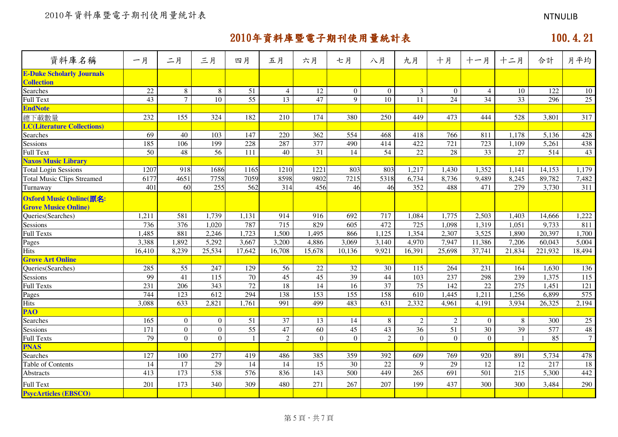| 資料庫名稱                                                 | 一月               | 二月              | 三月               | 四月              | 五月              | 六月              | 七月              | 八月               | 九月                | 十月               | 十一月             | 十二月             | 合計               | 月平均              |
|-------------------------------------------------------|------------------|-----------------|------------------|-----------------|-----------------|-----------------|-----------------|------------------|-------------------|------------------|-----------------|-----------------|------------------|------------------|
| <b>E-Duke Scholarly Journals</b><br><b>Collection</b> |                  |                 |                  |                 |                 |                 |                 |                  |                   |                  |                 |                 |                  |                  |
| Searches                                              | 22               | 8               | $\,8\,$          | 51              | $\overline{4}$  | 12              | $\overline{0}$  | $\theta$         | $\mathfrak{Z}$    | $\overline{0}$   | $\overline{4}$  | 10              | 122              | 10               |
| <b>Full Text</b>                                      | 43               | $\overline{7}$  | 10               | $\overline{55}$ | $\overline{13}$ | 47              | $\mathbf Q$     | 10               | 11                | 24               | 34              | $\overline{33}$ | 296              | $\overline{25}$  |
| <b>EndNote</b>                                        |                  |                 |                  |                 |                 |                 |                 |                  |                   |                  |                 |                 |                  |                  |
| 總下載數量                                                 | 232              | 155             | 324              | 182             | 210             | 174             | 380             | 250              | 449               | 473              | 444             | 528             | 3,801            | 317              |
| <b>LC(Literature Collections)</b>                     |                  |                 |                  |                 |                 |                 |                 |                  |                   |                  |                 |                 |                  |                  |
| Searches                                              | 69               | 40              | 103              | 147             | 220             | 362             | 554             | 468              | 418               | 766              | 811             | 1,178           | 5,136            | 428              |
| Sessions                                              | 185              | 106             | 199              | 228             | 287             | 377             | 490             | 414              | 422               | $\overline{721}$ | 723             | 1,109           | 5,261            | 438              |
| <b>Full Text</b>                                      | $\overline{50}$  | 48              | $\overline{56}$  | 111             | 40              | 31              | 14              | $\overline{54}$  | $\overline{22}$   | $\overline{28}$  | $\overline{33}$ | 27              | $\overline{514}$ | 43               |
| <b>Naxos Music Library</b>                            |                  |                 |                  |                 |                 |                 |                 |                  |                   |                  |                 |                 |                  |                  |
| <b>Total Login Sessions</b>                           | 1207             | 918             | 1686             | 1165            | 1210            | 1221            | 803             | 803              | 1,217             | 1,430            | 1,352           | 1,141           | 14,153           | 1,179            |
| <b>Total Music Clips Streamed</b>                     | 6177             | 4651            | 7758             | 7059            | 8598            | 9802            | 7215            | 5318             | 6,734             | 8,736            | 9,489           | 8,245           | 89,782           | 7,482            |
| Turnaway                                              | 401              | 60              | 255              | 562             | 314             | 456             | 46              | 46               | 352               | 488              | 471             | 279             | 3,730            | 311              |
| Oxford Music Online(原名:                               |                  |                 |                  |                 |                 |                 |                 |                  |                   |                  |                 |                 |                  |                  |
| <b>Grove Musice Online)</b>                           |                  |                 |                  |                 |                 |                 |                 |                  |                   |                  |                 |                 |                  |                  |
| Queries(Searches)                                     | 1,211            | 581             | 1,739            | 1,131           | 914             | 916             | 692             | 717              | 1,084             | 1,775            | 2,503           | 1,403           | 14,666           | 1,222            |
| Sessions                                              | 736              | 376             | 1,020            | 787             | 715             | 829             | 605             | 472              | 725               | 1,098            | 1,319           | 1,051           | 9,733            | 811              |
| <b>Full Texts</b>                                     | 1,485            | 881             | 2,246            | 1,723           | 1,500           | 1,495           | 866             | 1,125            | 1,354             | 2,307            | 3,525           | 1,890           | 20,397           | 1,700            |
| Pages                                                 | 3,388            | 1,892           | 5,292            | 3,667           | 3,200           | 4,886           | 3,069           | 3,140            | 4,970             | 7,947            | 11,386          | 7,206           | 60,043           | 5,004            |
| Hits                                                  | 16,410           | 8,239           | 25,534           | 17,642          | 16,708          | 15,678          | 10,136          | 9,921            | 16,391            | 25,698           | 37,741          | 21,834          | 221,932          | 18,494           |
| <b>Grove Art Online</b>                               |                  |                 |                  |                 |                 |                 |                 |                  |                   |                  |                 |                 |                  |                  |
| Queries(Searches)                                     | 285              | $\overline{55}$ | 247              | 129             | 56              | $\overline{22}$ | $\overline{32}$ | 30               | $\frac{115}{115}$ | 264              | 231             | 164             | 1,630            | 136              |
| Sessions                                              | 99               | 41              | $\overline{115}$ | 70              | 45              | 45              | 39              | 44               | 103               | 237              | 298             | 239             | 1,375            | $\overline{115}$ |
| <b>Full Texts</b>                                     | 231              | 206             | 343              | 72              | $\overline{18}$ | 14              | 16              | $\overline{37}$  | $\overline{75}$   | 142              | $\overline{22}$ | 275             | 1,451            | 121              |
| Pages                                                 | 744              | 123             | 612              | 294             | 138             | 153             | 155             | 158              | 610               | 1,445            | 1,211           | 1,256           | 6,899            | 575              |
| <b>Hits</b>                                           | 3,088            | 633             | 2,821            | 1,761           | 991             | 499             | 483             | $\overline{631}$ | 2,332             | 4,961            | 4,191           | 3,934           | 26,325           | 2,194            |
| <b>PAO</b>                                            |                  |                 |                  |                 |                 |                 |                 |                  |                   |                  |                 |                 |                  |                  |
| Searches                                              | 165              | $\overline{0}$  | $\boldsymbol{0}$ | 51              | 37              | 13              | 14              | 8                | $\sqrt{2}$        | $\overline{2}$   | $\theta$        | 8               | 300              | 25               |
| <b>Sessions</b>                                       | $\overline{171}$ | $\overline{0}$  | $\overline{0}$   | $\overline{55}$ | 47              | $\overline{60}$ | $\overline{45}$ | $\overline{43}$  | 36                | $\overline{51}$  | $\overline{30}$ | $\overline{39}$ | $\overline{577}$ | 48               |
| <b>Full Texts</b>                                     | 79               | $\overline{0}$  | $\overline{0}$   |                 | $\overline{2}$  | $\mathbf{0}$    | $\overline{0}$  | $\overline{2}$   | $\boldsymbol{0}$  | $\overline{0}$   | $\Omega$        | $\mathbf{1}$    | 85               | $7\phantom{.0}$  |
| <b>PNAS</b>                                           |                  |                 |                  |                 |                 |                 |                 |                  |                   |                  |                 |                 |                  |                  |
| Searches                                              | 127              | 100             | 277              | 419             | 486             | 385             | 359             | 392              | 609               | 769              | 920             | 891             | 5,734            | 478              |
| Table of Contents                                     | 14               | 17              | 29               | 14              | 14              | 15              | 30              | 22               | 9                 | 29               | 12              | 12              | 217              | 18               |
| Abstracts                                             | 413              | 173             | 538              | 576             | 836             | 143             | 500             | 449              | 265               | 691              | 501             | 215             | 5,300            | 442              |
| <b>Full Text</b>                                      | 201              | 173             | 340              | 309             | 480             | 271             | 267             | 207              | 199               | 437              | 300             | 300             | 3,484            | 290              |
| <b>PsycArticles (EBSCO)</b>                           |                  |                 |                  |                 |                 |                 |                 |                  |                   |                  |                 |                 |                  |                  |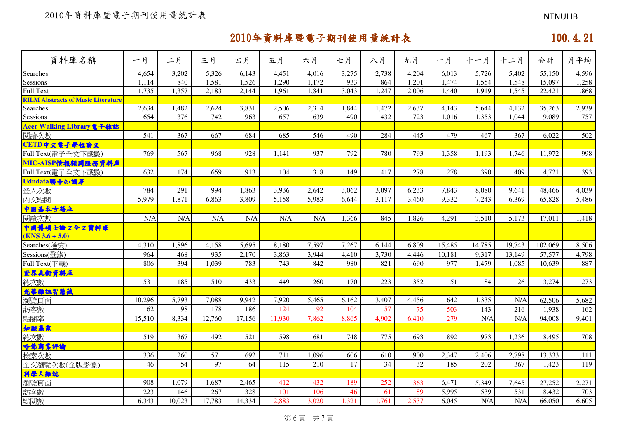# では、このように、このように、このように、このように、このように、このように、このように、このように、このように、このように、このように、このように、このように<br>このように、このように、このように、このように、このように、このように、このように、このように、このように、このように、このように、このように、このように、このように、このように、このように、このように、このよ

| 資料庫名稱                                     | 一月     | 二月     | 三月     | 四月     | 五月     | 六月    | 七月    | 八月    | 九月    | 十月     | 十一月    | 十二月    | 合計      | 月平均   |
|-------------------------------------------|--------|--------|--------|--------|--------|-------|-------|-------|-------|--------|--------|--------|---------|-------|
| Searches                                  | 4,654  | 3,202  | 5,326  | 6,143  | 4,451  | 4,016 | 3,275 | 2,738 | 4,204 | 6,013  | 5,726  | 5,402  | 55,150  | 4,596 |
| Sessions                                  | 1,114  | 840    | 1,581  | 1,526  | 1,290  | 1,172 | 933   | 864   | 1,201 | 1,474  | 1,554  | 1,548  | 15,097  | 1,258 |
| <b>Full Text</b>                          | 1,735  | 1,357  | 2,183  | 2,144  | 1,961  | 1,841 | 3,043 | 1,247 | 2,006 | 1,440  | 1,919  | 1,545  | 22,421  | 1,868 |
| <b>RILM Abstracts of Music Literature</b> |        |        |        |        |        |       |       |       |       |        |        |        |         |       |
| Searches                                  | 2,634  | 1,482  | 2,624  | 3,831  | 2,506  | 2,314 | 1,844 | 1,472 | 2,637 | 4,143  | 5,644  | 4,132  | 35,263  | 2,939 |
| Sessions                                  | 654    | 376    | 742    | 963    | 657    | 639   | 490   | 432   | 723   | 1,016  | 1,353  | 1,044  | 9,089   | 757   |
| Acer Walking Library電子雜誌                  |        |        |        |        |        |       |       |       |       |        |        |        |         |       |
| 閲讀次數                                      | 541    | 367    | 667    | 684    | 685    | 546   | 490   | 284   | 445   | 479    | 467    | 367    | 6,022   | 502   |
| CETD中文電子學位論文                              |        |        |        |        |        |       |       |       |       |        |        |        |         |       |
| Full Text(電子全文下載數)                        | 769    | 567    | 968    | 928    | 1,141  | 937   | 792   | 780   | 793   | 1,358  | 1,193  | 1,746  | 11,972  | 998   |
| MIC-AISP情報顧問服務資料庫                         |        |        |        |        |        |       |       |       |       |        |        |        |         |       |
| Full Text(電子全文下載數)                        | 632    | 174    | 659    | 913    | 104    | 318   | 149   | 417   | 278   | 278    | 390    | 409    | 4,721   | 393   |
| Udndata聯合知識庫                              |        |        |        |        |        |       |       |       |       |        |        |        |         |       |
| 登入次數                                      | 784    | 291    | 994    | 1,863  | 3,936  | 2,642 | 3,062 | 3,097 | 6,233 | 7,843  | 8,080  | 9.641  | 48,466  | 4,039 |
| 內文點閱                                      | 5,979  | 1,871  | 6,863  | 3,809  | 5,158  | 5,983 | 6,644 | 3,117 | 3,460 | 9,332  | 7,243  | 6,369  | 65,828  | 5,486 |
| 中國基本古籍庫                                   |        |        |        |        |        |       |       |       |       |        |        |        |         |       |
| 閱讀次數                                      | N/A    | N/A    | N/A    | N/A    | N/A    | N/A   | 1,366 | 845   | 1,826 | 4,291  | 3,510  | 5,173  | 17,011  | 1,418 |
| 中國博碩士論文全文資料庫                              |        |        |        |        |        |       |       |       |       |        |        |        |         |       |
| $(KNS 3.6 + 5.0)$                         |        |        |        |        |        |       |       |       |       |        |        |        |         |       |
| Searches(檢索)                              | 4,310  | 1,896  | 4,158  | 5,695  | 8,180  | 7,597 | 7,267 | 6,144 | 6,809 | 15,485 | 14,785 | 19,743 | 102,069 | 8,506 |
| Sessions(登錄)                              | 964    | 468    | 935    | 2,170  | 3,863  | 3,944 | 4,410 | 3,730 | 4,446 | 10,181 | 9,317  | 13,149 | 57,577  | 4,798 |
| Full Text(下載)                             | 806    | 394    | 1,039  | 783    | 743    | 842   | 980   | 821   | 690   | 977    | 1,479  | 1,085  | 10,639  | 887   |
| 世界美術資料庫                                   |        |        |        |        |        |       |       |       |       |        |        |        |         |       |
| 總次數                                       | 531    | 185    | 510    | 433    | 449    | 260   | 170   | 223   | 352   | 51     | 84     | 26     | 3,274   | 273   |
| 光華雜誌智慧藏                                   |        |        |        |        |        |       |       |       |       |        |        |        |         |       |
| 瀏覽頁面                                      | 10,296 | 5,793  | 7,088  | 9,942  | 7,920  | 5,465 | 6,162 | 3,407 | 4,456 | 642    | 1,335  | N/A    | 62,506  | 5,682 |
| 訪客數                                       | 162    | 98     | 178    | 186    | 124    | 92    | 104   | 57    | 75    | 503    | 143    | 216    | 1,938   | 162   |
| 點閱率                                       | 15,510 | 8,334  | 12,760 | 17,156 | 11,930 | 7,862 | 8,865 | 4,902 | 6,410 | 279    | N/A    | N/A    | 94,008  | 9,401 |
| 知識赢家                                      |        |        |        |        |        |       |       |       |       |        |        |        |         |       |
| 總次數                                       | 519    | 367    | 492    | 521    | 598    | 681   | 748   | 775   | 693   | 892    | 973    | 1,236  | 8,495   | 708   |
| 哈佛商業評論                                    |        |        |        |        |        |       |       |       |       |        |        |        |         |       |
| 檢索次數                                      | 336    | 260    | 571    | 692    | 711    | 1,096 | 606   | 610   | 900   | 2,347  | 2,406  | 2,798  | 13,333  | 1,111 |
| 全文瀏覽次數(全版影像)                              | 46     | 54     | 97     | 64     | 115    | 210   | 17    | 34    | 32    | 185    | 202    | 367    | 1,423   | 119   |
| 科學人雜誌                                     |        |        |        |        |        |       |       |       |       |        |        |        |         |       |
| 瀏覽頁面                                      | 908    | 1,079  | 1,687  | 2,465  | 412    | 432   | 189   | 252   | 363   | 6,471  | 5,349  | 7,645  | 27,252  | 2,271 |
| 訪客數                                       | 223    | 146    | 267    | 328    | 101    | 106   | 46    | 61    | 89    | 5,995  | 539    | 531    | 8,432   | 703   |
| 點閱數                                       | 6,343  | 10,023 | 17,783 | 14,334 | 2,883  | 3,020 | 1,321 | 1,761 | 2,537 | 6,045  | N/A    | N/A    | 66,050  | 6,605 |